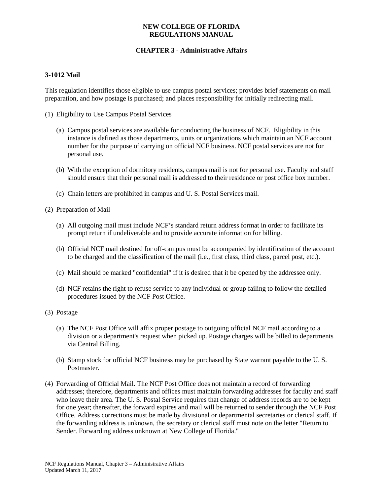### **NEW COLLEGE OF FLORIDA REGULATIONS MANUAL**

# **CHAPTER 3 - Administrative Affairs**

#### **3-1012 Mail**

This regulation identifies those eligible to use campus postal services; provides brief statements on mail preparation, and how postage is purchased; and places responsibility for initially redirecting mail.

- (1) Eligibility to Use Campus Postal Services
	- (a) Campus postal services are available for conducting the business of NCF. Eligibility in this instance is defined as those departments, units or organizations which maintain an NCF account number for the purpose of carrying on official NCF business. NCF postal services are not for personal use.
	- (b) With the exception of dormitory residents, campus mail is not for personal use. Faculty and staff should ensure that their personal mail is addressed to their residence or post office box number.
	- (c) Chain letters are prohibited in campus and U. S. Postal Services mail.
- (2) Preparation of Mail
	- (a) All outgoing mail must include NCF's standard return address format in order to facilitate its prompt return if undeliverable and to provide accurate information for billing.
	- (b) Official NCF mail destined for off-campus must be accompanied by identification of the account to be charged and the classification of the mail (i.e., first class, third class, parcel post, etc.).
	- (c) Mail should be marked "confidential" if it is desired that it be opened by the addressee only.
	- (d) NCF retains the right to refuse service to any individual or group failing to follow the detailed procedures issued by the NCF Post Office.
- (3) Postage
	- (a) The NCF Post Office will affix proper postage to outgoing official NCF mail according to a division or a department's request when picked up. Postage charges will be billed to departments via Central Billing.
	- (b) Stamp stock for official NCF business may be purchased by State warrant payable to the U. S. Postmaster.
- (4) Forwarding of Official Mail. The NCF Post Office does not maintain a record of forwarding addresses; therefore, departments and offices must maintain forwarding addresses for faculty and staff who leave their area. The U. S. Postal Service requires that change of address records are to be kept for one year; thereafter, the forward expires and mail will be returned to sender through the NCF Post Office. Address corrections must be made by divisional or departmental secretaries or clerical staff. If the forwarding address is unknown, the secretary or clerical staff must note on the letter "Return to Sender. Forwarding address unknown at New College of Florida."